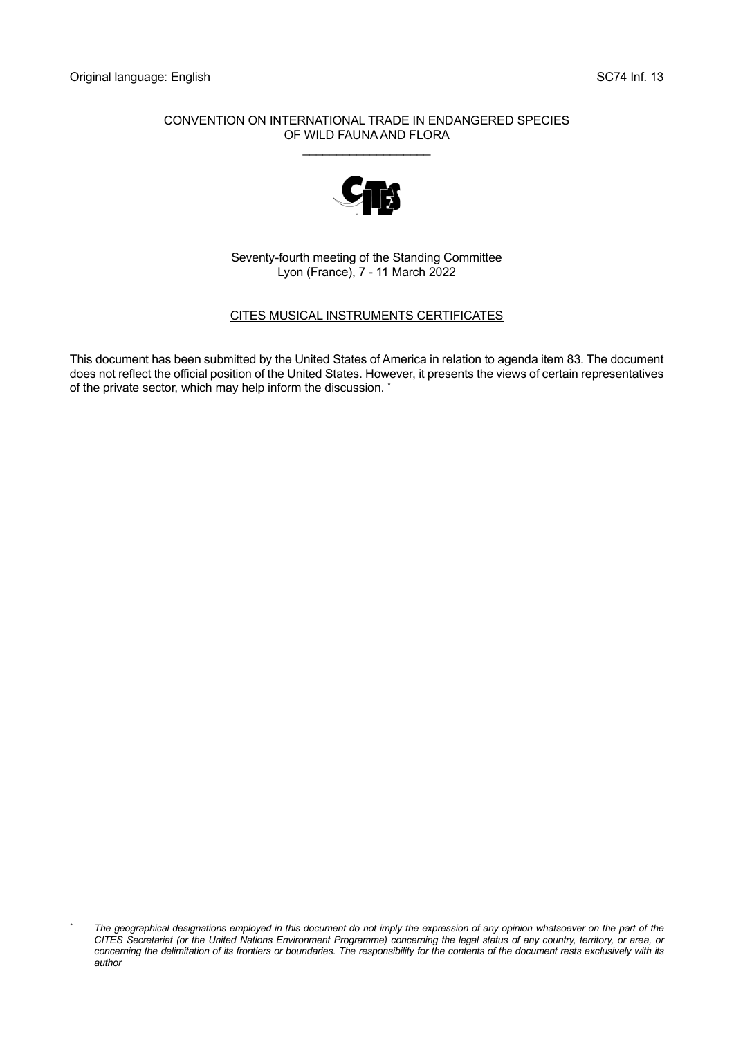#### CONVENTION ON INTERNATIONAL TRADE IN ENDANGERED SPECIES OF WILD FAUNA AND FLORA

\_\_\_\_\_\_\_\_\_\_\_\_\_\_\_\_\_\_\_



Seventy-fourth meeting of the Standing Committee Lyon (France), 7 - 11 March 2022

## CITES MUSICAL INSTRUMENTS CERTIFICATES

This document has been submitted by the United States of America in relation to agenda item 83. The document does not reflect the official position of the United States. However, it presents the views of certain representatives of the private sector, which may help inform the discussion. \*

*<sup>\*</sup> The geographical designations employed in this document do not imply the expression of any opinion whatsoever on the part of the CITES Secretariat (or the United Nations Environment Programme) concerning the legal status of any country, territory, or area, or*  concerning the delimitation of its frontiers or boundaries. The responsibility for the contents of the document rests exclusively with its *author*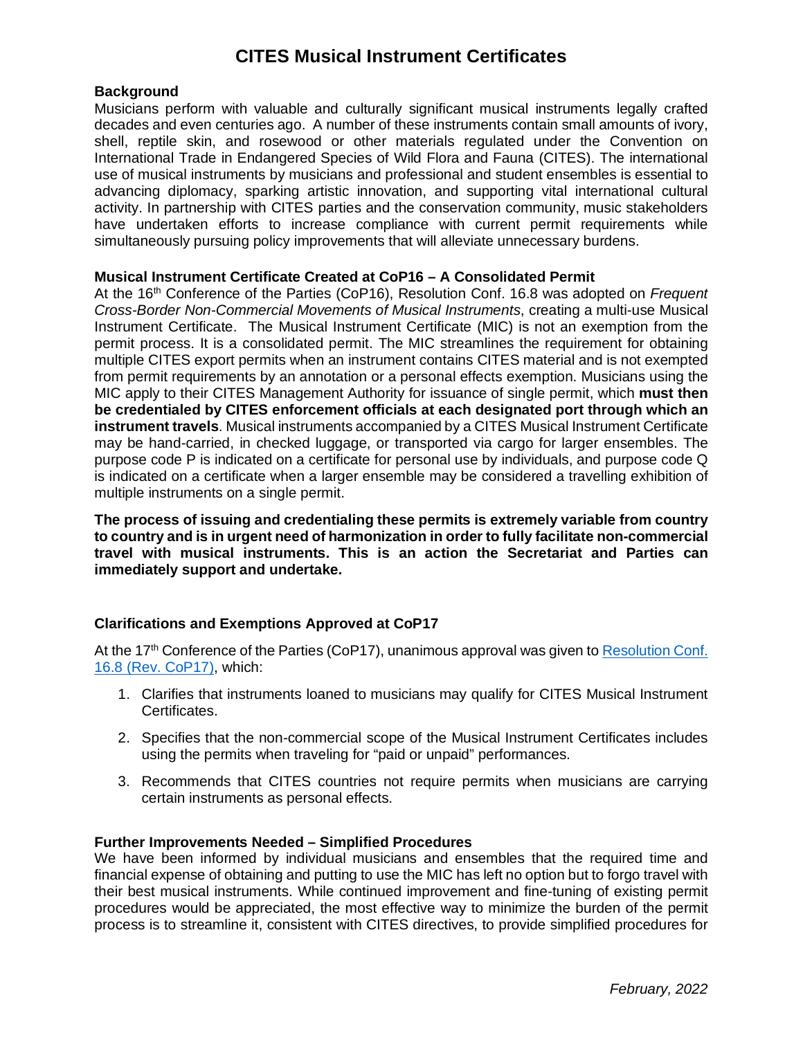# **CITES Musical Instrument Certificates**

#### **Background**

Musicians perform with valuable and culturally significant musical instruments legally crafted decades and even centuries ago. A number of these instruments contain small amounts of ivory, shell, reptile skin, and rosewood or other materials regulated under the Convention on International Trade in Endangered Species of Wild Flora and Fauna (CITES). The international use of musical instruments by musicians and professional and student ensembles is essential to advancing diplomacy, sparking artistic innovation, and supporting vital international cultural activity. In partnership with CITES parties and the conservation community, music stakeholders have undertaken efforts to increase compliance with current permit requirements while simultaneously pursuing policy improvements that will alleviate unnecessary burdens.

## **Musical Instrument Certificate Created at CoP16 – A Consolidated Permit**

At the 16<sup>th</sup> Conference of the Parties (CoP16), Resolution Conf. 16.8 was adopted on *Frequent Cross-Border Non-Commercial Movements of Musical Instruments*, creating a multi-use Musical Instrument Certificate. The Musical Instrument Certificate (MIC) is not an exemption from the permit process. It is a consolidated permit. The MIC streamlines the requirement for obtaining multiple CITES export permits when an instrument contains CITES material and is not exempted from permit requirements by an annotation or a personal effects exemption. Musicians using the MIC apply to their CITES Management Authority for issuance of single permit, which **must then be credentialed by CITES enforcement officials at each designated port through which an instrument travels**. Musical instruments accompanied by a CITES Musical Instrument Certificate may be hand-carried, in checked luggage, or transported via cargo for larger ensembles. The purpose code P is indicated on a certificate for personal use by individuals, and purpose code Q is indicated on a certificate when a larger ensemble may be considered a travelling exhibition of multiple instruments on a single permit.

**The process of issuing and credentialing these permits is extremely variable from country to country and is in urgent need of harmonization in order to fully facilitate non-commercial travel with musical instruments. This is an action the Secretariat and Parties can immediately support and undertake.**

# **Clarifications and Exemptions Approved at CoP17**

At the 17<sup>th</sup> Conference of the Parties (CoP17), unanimous approval was given to Resolution Conf. [16.8 \(Rev. CoP17\),](https://cites.org/sites/default/files/document/E-Res-16-08-R17.pdf) which:

- 1. Clarifies that instruments loaned to musicians may qualify for CITES Musical Instrument Certificates.
- 2. Specifies that the non-commercial scope of the Musical Instrument Certificates includes using the permits when traveling for "paid or unpaid" performances.
- 3. Recommends that CITES countries not require permits when musicians are carrying certain instruments as personal effects.

#### **Further Improvements Needed – Simplified Procedures**

We have been informed by individual musicians and ensembles that the required time and financial expense of obtaining and putting to use the MIC has left no option but to forgo travel with their best musical instruments. While continued improvement and fine-tuning of existing permit procedures would be appreciated, the most effective way to minimize the burden of the permit process is to streamline it, consistent with CITES directives, to provide simplified procedures for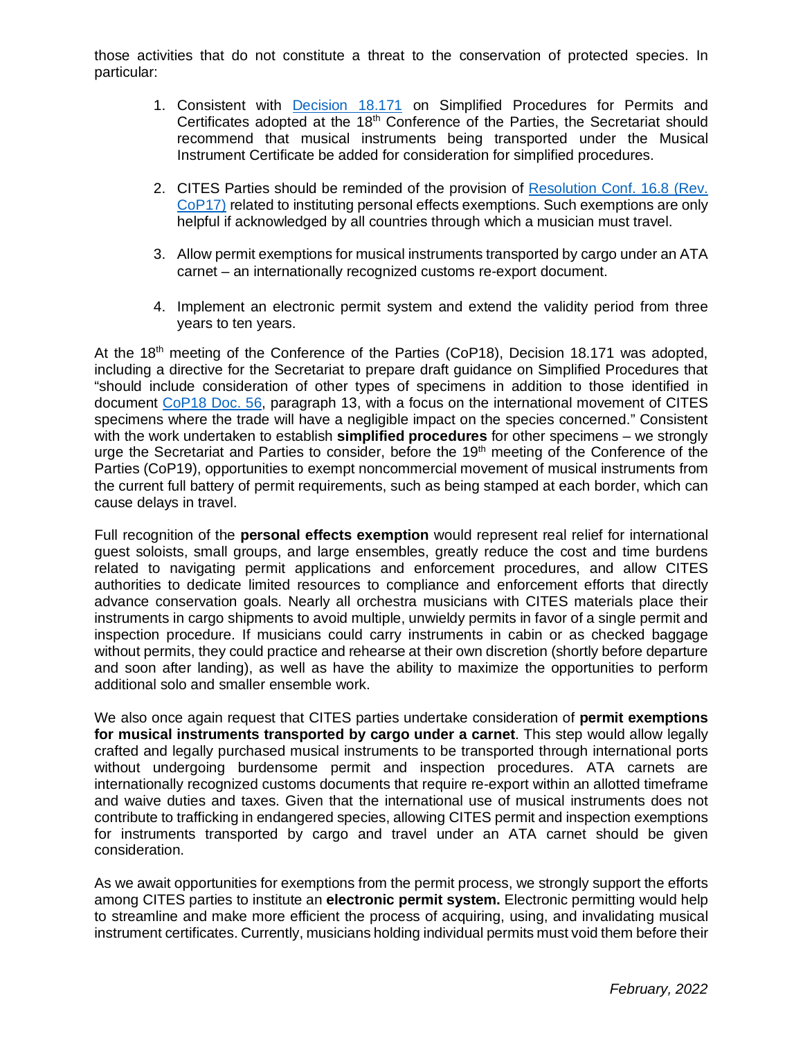those activities that do not constitute a threat to the conservation of protected species. In particular:

- 1. Consistent with [Decision 18.171](https://cites.org/eng/taxonomy/term/42068) on Simplified Procedures for Permits and Certificates adopted at the 18<sup>th</sup> Conference of the Parties, the Secretariat should recommend that musical instruments being transported under the Musical Instrument Certificate be added for consideration for simplified procedures.
- 2. CITES Parties should be reminded of the provision of [Resolution Conf. 16.8 \(Rev.](https://cites.org/sites/default/files/document/E-Res-16-08-R17.pdf)  [CoP17\)](https://cites.org/sites/default/files/document/E-Res-16-08-R17.pdf) related to instituting personal effects exemptions. Such exemptions are only helpful if acknowledged by all countries through which a musician must travel.
- 3. Allow permit exemptions for musical instruments transported by cargo under an ATA carnet – an internationally recognized customs re-export document.
- 4. Implement an electronic permit system and extend the validity period from three years to ten years.

At the  $18<sup>th</sup>$  meeting of the Conference of the Parties (CoP18), Decision 18.171 was adopted, including a directive for the Secretariat to prepare draft guidance on Simplified Procedures that "should include consideration of other types of specimens in addition to those identified in document [CoP18 Doc. 56,](https://cites.org/sites/default/files/eng/cop/18/doc/E-CoP18-056.pdf) paragraph 13, with a focus on the international movement of CITES specimens where the trade will have a negligible impact on the species concerned." Consistent with the work undertaken to establish **simplified procedures** for other specimens – we strongly urge the Secretariat and Parties to consider, before the 19<sup>th</sup> meeting of the Conference of the Parties (CoP19), opportunities to exempt noncommercial movement of musical instruments from the current full battery of permit requirements, such as being stamped at each border, which can cause delays in travel.

Full recognition of the **personal effects exemption** would represent real relief for international guest soloists, small groups, and large ensembles, greatly reduce the cost and time burdens related to navigating permit applications and enforcement procedures, and allow CITES authorities to dedicate limited resources to compliance and enforcement efforts that directly advance conservation goals. Nearly all orchestra musicians with CITES materials place their instruments in cargo shipments to avoid multiple, unwieldy permits in favor of a single permit and inspection procedure. If musicians could carry instruments in cabin or as checked baggage without permits, they could practice and rehearse at their own discretion (shortly before departure and soon after landing), as well as have the ability to maximize the opportunities to perform additional solo and smaller ensemble work.

We also once again request that CITES parties undertake consideration of **permit exemptions for musical instruments transported by cargo under a carnet**. This step would allow legally crafted and legally purchased musical instruments to be transported through international ports without undergoing burdensome permit and inspection procedures. ATA carnets are internationally recognized customs documents that require re-export within an allotted timeframe and waive duties and taxes. Given that the international use of musical instruments does not contribute to trafficking in endangered species, allowing CITES permit and inspection exemptions for instruments transported by cargo and travel under an ATA carnet should be given consideration.

As we await opportunities for exemptions from the permit process, we strongly support the efforts among CITES parties to institute an **electronic permit system.** Electronic permitting would help to streamline and make more efficient the process of acquiring, using, and invalidating musical instrument certificates. Currently, musicians holding individual permits must void them before their